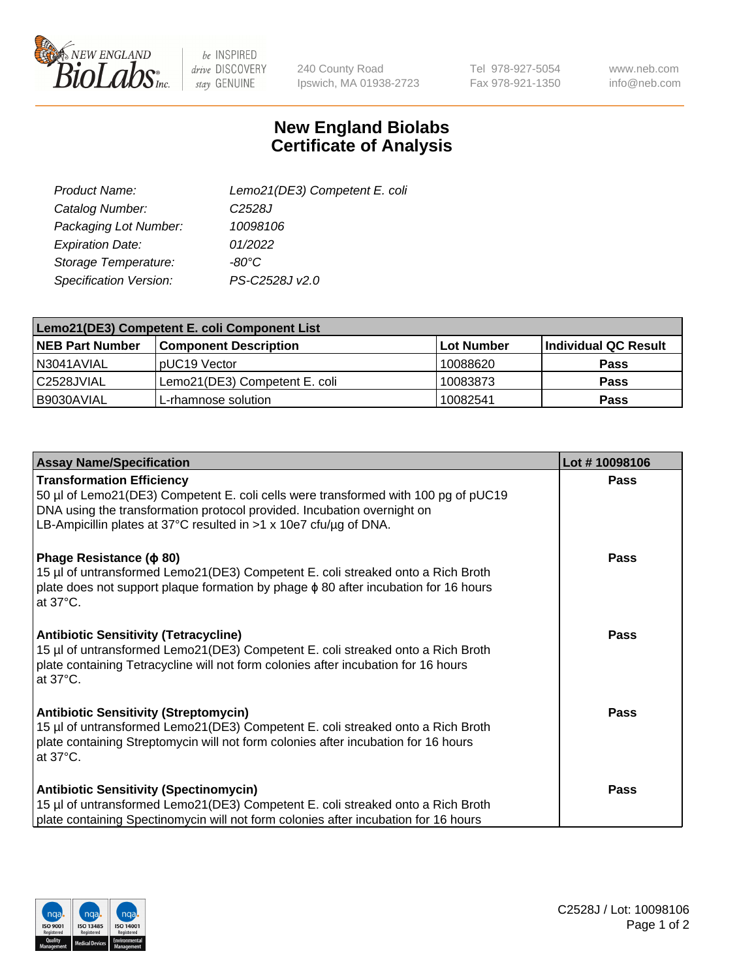

 $be$  INSPIRED drive DISCOVERY stay GENUINE

240 County Road Ipswich, MA 01938-2723 Tel 978-927-5054 Fax 978-921-1350

www.neb.com info@neb.com

## **New England Biolabs Certificate of Analysis**

| Lemo21(DE3) Competent E. coli |
|-------------------------------|
| C <sub>2528</sub> J           |
| 10098106                      |
| 01/2022                       |
| $-80^{\circ}$ C               |
| PS-C2528J v2.0                |
|                               |

| Lemo21(DE3) Competent E. coli Component List |                               |                   |                      |  |
|----------------------------------------------|-------------------------------|-------------------|----------------------|--|
| <b>NEB Part Number</b>                       | <b>Component Description</b>  | <b>Lot Number</b> | Individual QC Result |  |
| I N3041AVIAL                                 | IpUC19 Vector                 | 10088620          | Pass                 |  |
| C2528JVIAL                                   | Lemo21(DE3) Competent E. coli | 10083873          | Pass                 |  |
| B9030AVIAL                                   | L-rhamnose solution           | 10082541          | <b>Pass</b>          |  |

| <b>Assay Name/Specification</b>                                                                                                                                                                                                                                          | Lot #10098106 |
|--------------------------------------------------------------------------------------------------------------------------------------------------------------------------------------------------------------------------------------------------------------------------|---------------|
| <b>Transformation Efficiency</b><br>50 µl of Lemo21(DE3) Competent E. coli cells were transformed with 100 pg of pUC19<br>DNA using the transformation protocol provided. Incubation overnight on<br>LB-Ampicillin plates at 37°C resulted in $>1$ x 10e7 cfu/ug of DNA. | Pass          |
| Phage Resistance ( $\phi$ 80)<br>15 µl of untransformed Lemo21(DE3) Competent E. coli streaked onto a Rich Broth<br>plate does not support plaque formation by phage $\phi$ 80 after incubation for 16 hours<br>at $37^{\circ}$ C.                                       | Pass          |
| <b>Antibiotic Sensitivity (Tetracycline)</b><br>15 µl of untransformed Lemo21(DE3) Competent E. coli streaked onto a Rich Broth<br>plate containing Tetracycline will not form colonies after incubation for 16 hours<br>at 37°C.                                        | Pass          |
| <b>Antibiotic Sensitivity (Streptomycin)</b><br>15 µl of untransformed Lemo21(DE3) Competent E. coli streaked onto a Rich Broth<br>plate containing Streptomycin will not form colonies after incubation for 16 hours<br>at 37°C.                                        | Pass          |
| <b>Antibiotic Sensitivity (Spectinomycin)</b><br>15 µl of untransformed Lemo21(DE3) Competent E. coli streaked onto a Rich Broth<br>plate containing Spectinomycin will not form colonies after incubation for 16 hours                                                  | Pass          |